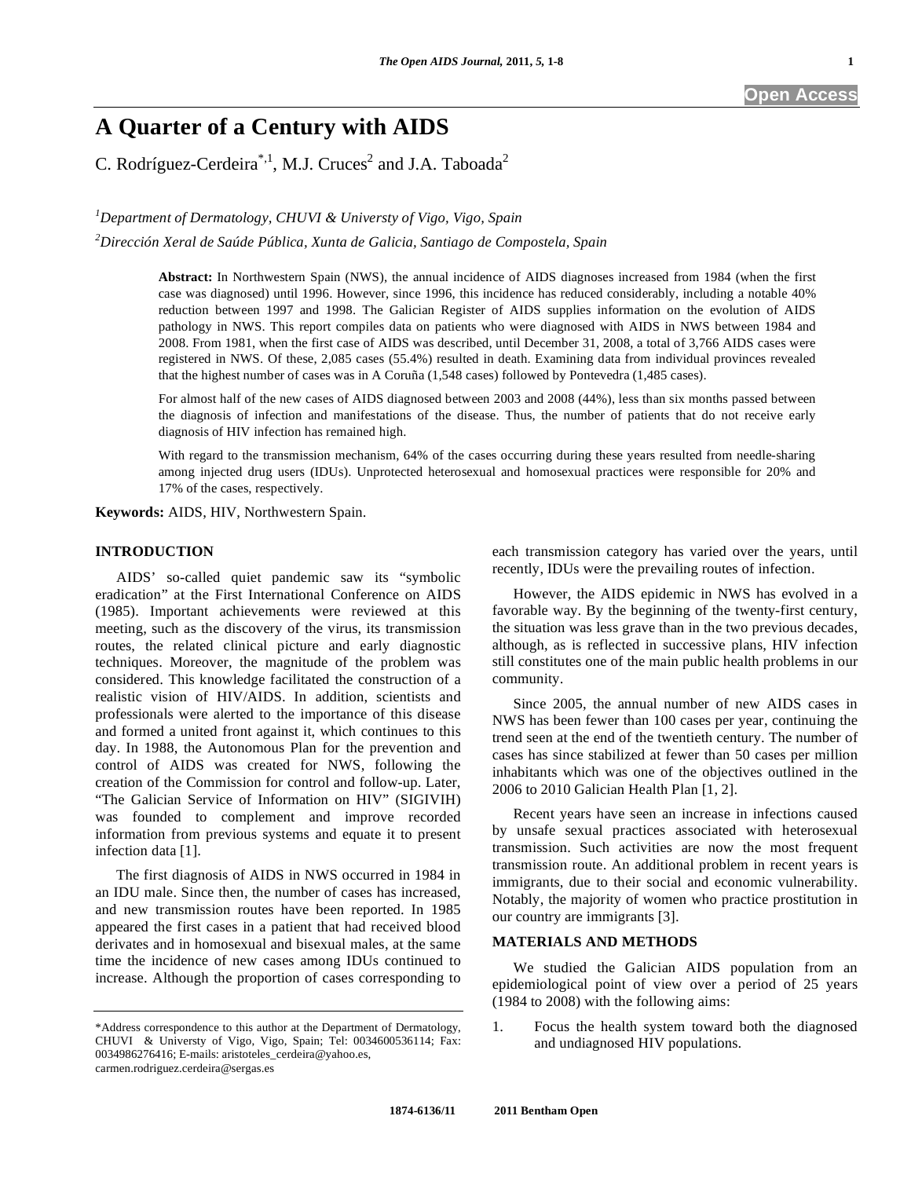# **A Quarter of a Century with AIDS**

C. Rodríguez-Cerdeira<sup>\*,1</sup>, M.J. Cruces<sup>2</sup> and J.A. Taboada<sup>2</sup>

*1 Department of Dermatology, CHUVI & Universty of Vigo, Vigo, Spain* 

*2 Dirección Xeral de Saúde Pública, Xunta de Galicia, Santiago de Compostela, Spain* 

**Abstract:** In Northwestern Spain (NWS), the annual incidence of AIDS diagnoses increased from 1984 (when the first case was diagnosed) until 1996. However, since 1996, this incidence has reduced considerably, including a notable 40% reduction between 1997 and 1998. The Galician Register of AIDS supplies information on the evolution of AIDS pathology in NWS. This report compiles data on patients who were diagnosed with AIDS in NWS between 1984 and 2008. From 1981, when the first case of AIDS was described, until December 31, 2008, a total of 3,766 AIDS cases were registered in NWS. Of these, 2,085 cases (55.4%) resulted in death. Examining data from individual provinces revealed that the highest number of cases was in A Coruña (1,548 cases) followed by Pontevedra (1,485 cases).

For almost half of the new cases of AIDS diagnosed between 2003 and 2008 (44%), less than six months passed between the diagnosis of infection and manifestations of the disease. Thus, the number of patients that do not receive early diagnosis of HIV infection has remained high.

With regard to the transmission mechanism, 64% of the cases occurring during these years resulted from needle-sharing among injected drug users (IDUs). Unprotected heterosexual and homosexual practices were responsible for 20% and 17% of the cases, respectively.

**Keywords:** AIDS, HIV, Northwestern Spain.

## **INTRODUCTION**

 AIDS' so-called quiet pandemic saw its "symbolic eradication" at the First International Conference on AIDS (1985). Important achievements were reviewed at this meeting, such as the discovery of the virus, its transmission routes, the related clinical picture and early diagnostic techniques. Moreover, the magnitude of the problem was considered. This knowledge facilitated the construction of a realistic vision of HIV/AIDS. In addition, scientists and professionals were alerted to the importance of this disease and formed a united front against it, which continues to this day. In 1988, the Autonomous Plan for the prevention and control of AIDS was created for NWS, following the creation of the Commission for control and follow-up. Later, "The Galician Service of Information on HIV" (SIGIVIH) was founded to complement and improve recorded information from previous systems and equate it to present infection data [1].

 The first diagnosis of AIDS in NWS occurred in 1984 in an IDU male. Since then, the number of cases has increased, and new transmission routes have been reported. In 1985 appeared the first cases in a patient that had received blood derivates and in homosexual and bisexual males, at the same time the incidence of new cases among IDUs continued to increase. Although the proportion of cases corresponding to each transmission category has varied over the years, until recently, IDUs were the prevailing routes of infection.

 However, the AIDS epidemic in NWS has evolved in a favorable way. By the beginning of the twenty-first century, the situation was less grave than in the two previous decades, although, as is reflected in successive plans, HIV infection still constitutes one of the main public health problems in our community.

 Since 2005, the annual number of new AIDS cases in NWS has been fewer than 100 cases per year, continuing the trend seen at the end of the twentieth century. The number of cases has since stabilized at fewer than 50 cases per million inhabitants which was one of the objectives outlined in the 2006 to 2010 Galician Health Plan [1, 2].

 Recent years have seen an increase in infections caused by unsafe sexual practices associated with heterosexual transmission. Such activities are now the most frequent transmission route. An additional problem in recent years is immigrants, due to their social and economic vulnerability. Notably, the majority of women who practice prostitution in our country are immigrants [3].

### **MATERIALS AND METHODS**

 We studied the Galician AIDS population from an epidemiological point of view over a period of 25 years (1984 to 2008) with the following aims:

1. Focus the health system toward both the diagnosed and undiagnosed HIV populations.

<sup>\*</sup>Address correspondence to this author at the Department of Dermatology, CHUVI & Universty of Vigo, Vigo, Spain; Tel: 0034600536114; Fax: 0034986276416; E-mails: aristoteles\_cerdeira@yahoo.es, carmen.rodriguez.cerdeira@sergas.es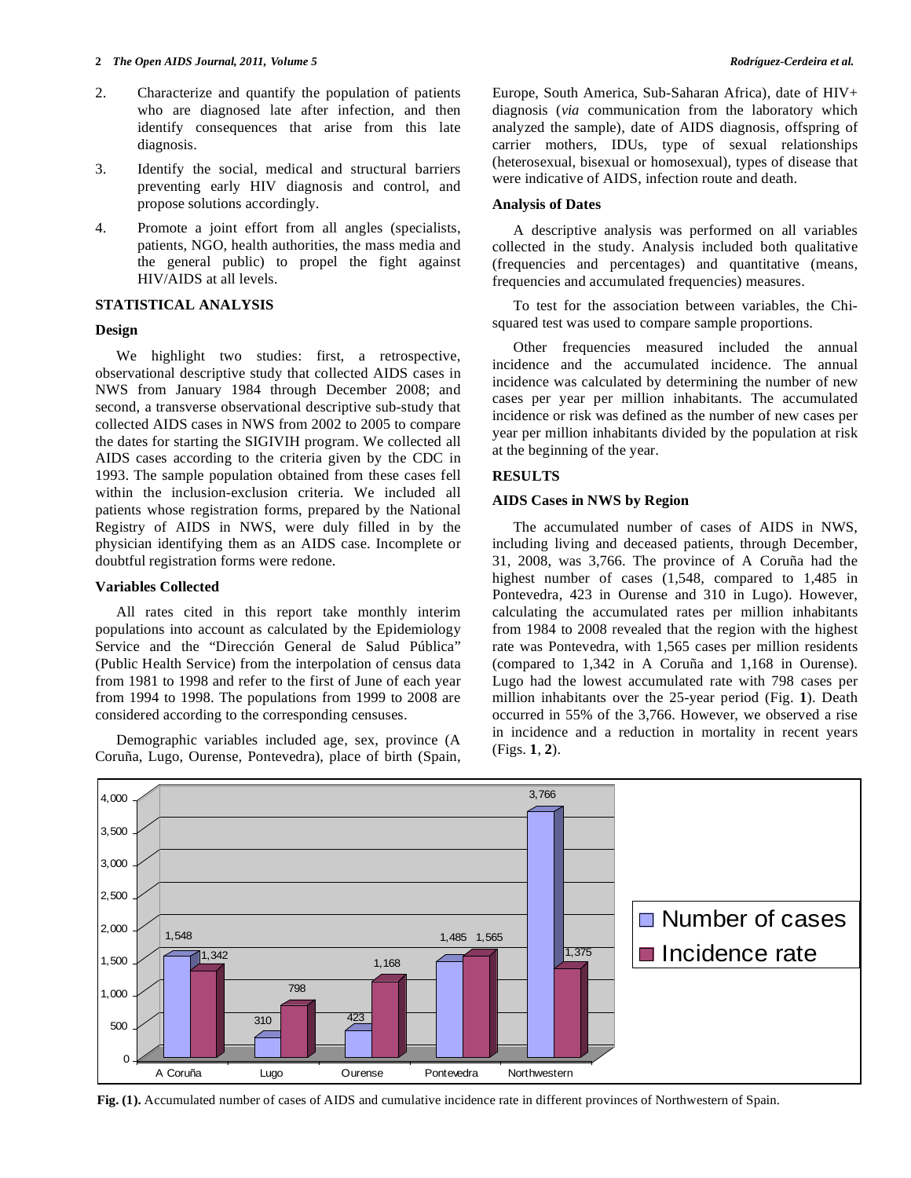#### **2** *The Open AIDS Journal, 2011, Volume 5**Rodríguez-Cerdeira et al.* **<b>***Rodríguez-Cerdeira et al.*

- 2. Characterize and quantify the population of patients who are diagnosed late after infection, and then identify consequences that arise from this late diagnosis.
- 3. Identify the social, medical and structural barriers preventing early HIV diagnosis and control, and propose solutions accordingly.
- 4. Promote a joint effort from all angles (specialists, patients, NGO, health authorities, the mass media and the general public) to propel the fight against HIV/AIDS at all levels.

#### **STATISTICAL ANALYSIS**

## **Design**

 We highlight two studies: first, a retrospective, observational descriptive study that collected AIDS cases in NWS from January 1984 through December 2008; and second, a transverse observational descriptive sub-study that collected AIDS cases in NWS from 2002 to 2005 to compare the dates for starting the SIGIVIH program. We collected all AIDS cases according to the criteria given by the CDC in 1993. The sample population obtained from these cases fell within the inclusion-exclusion criteria. We included all patients whose registration forms, prepared by the National Registry of AIDS in NWS, were duly filled in by the physician identifying them as an AIDS case. Incomplete or doubtful registration forms were redone.

#### **Variables Collected**

 All rates cited in this report take monthly interim populations into account as calculated by the Epidemiology Service and the "Dirección General de Salud Pública" (Public Health Service) from the interpolation of census data from 1981 to 1998 and refer to the first of June of each year from 1994 to 1998. The populations from 1999 to 2008 are considered according to the corresponding censuses.

 Demographic variables included age, sex, province (A Coruña, Lugo, Ourense, Pontevedra), place of birth (Spain, Europe, South America, Sub-Saharan Africa), date of HIV+ diagnosis (*via* communication from the laboratory which analyzed the sample), date of AIDS diagnosis, offspring of carrier mothers, IDUs, type of sexual relationships (heterosexual, bisexual or homosexual), types of disease that were indicative of AIDS, infection route and death.

## **Analysis of Dates**

 A descriptive analysis was performed on all variables collected in the study. Analysis included both qualitative (frequencies and percentages) and quantitative (means, frequencies and accumulated frequencies) measures.

 To test for the association between variables, the Chisquared test was used to compare sample proportions.

 Other frequencies measured included the annual incidence and the accumulated incidence. The annual incidence was calculated by determining the number of new cases per year per million inhabitants. The accumulated incidence or risk was defined as the number of new cases per year per million inhabitants divided by the population at risk at the beginning of the year.

#### **RESULTS**

### **AIDS Cases in NWS by Region**

 The accumulated number of cases of AIDS in NWS, including living and deceased patients, through December, 31, 2008, was 3,766. The province of A Coruña had the highest number of cases (1,548, compared to 1,485 in Pontevedra, 423 in Ourense and 310 in Lugo). However, calculating the accumulated rates per million inhabitants from 1984 to 2008 revealed that the region with the highest rate was Pontevedra, with 1,565 cases per million residents (compared to 1,342 in A Coruña and 1,168 in Ourense). Lugo had the lowest accumulated rate with 798 cases per million inhabitants over the 25-year period (Fig. **1**). Death occurred in 55% of the 3,766. However, we observed a rise in incidence and a reduction in mortality in recent years (Figs. **1**, **2**).



**Fig. (1).** Accumulated number of cases of AIDS and cumulative incidence rate in different provinces of Northwestern of Spain.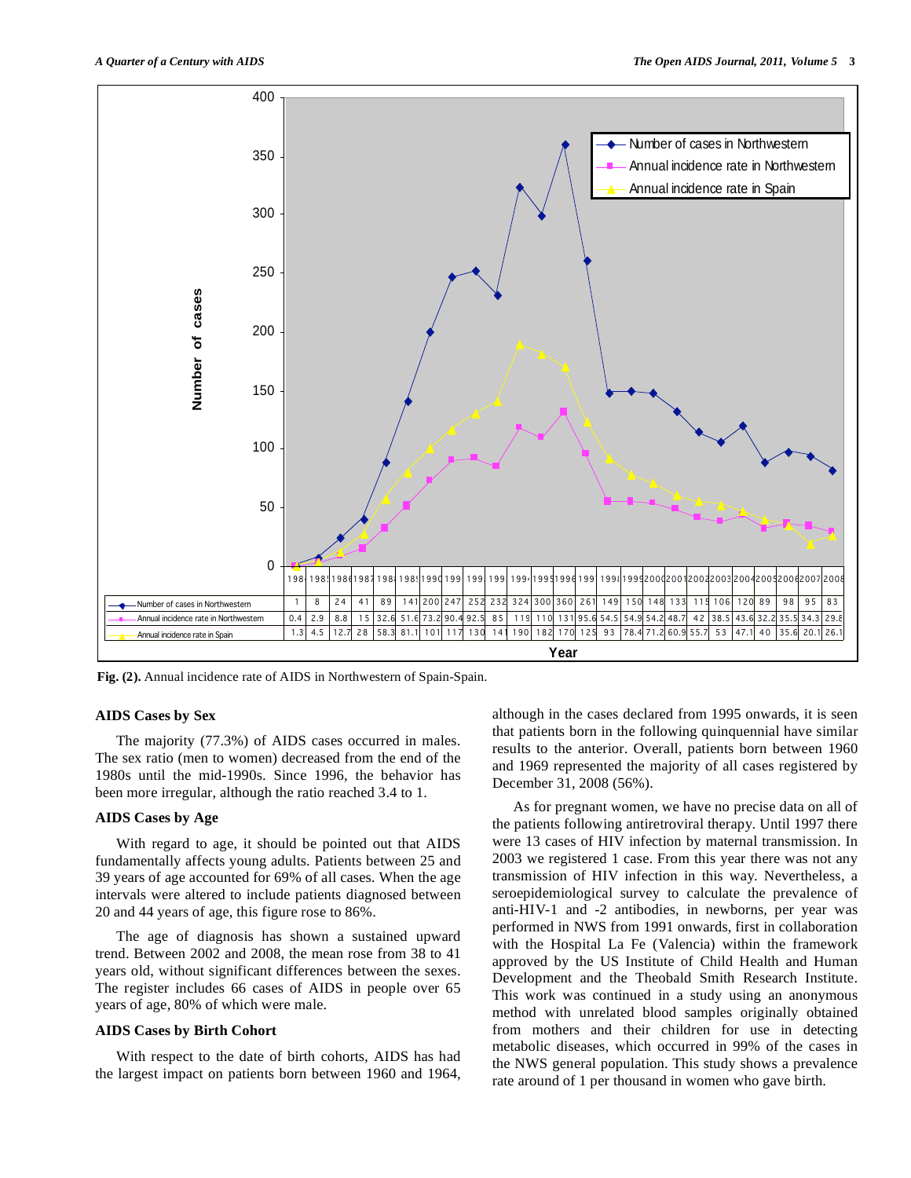

**Fig. (2).** Annual incidence rate of AIDS in Northwestern of Spain-Spain.

#### **AIDS Cases by Sex**

 The majority (77.3%) of AIDS cases occurred in males. The sex ratio (men to women) decreased from the end of the 1980s until the mid-1990s. Since 1996, the behavior has been more irregular, although the ratio reached 3.4 to 1.

## **AIDS Cases by Age**

 With regard to age, it should be pointed out that AIDS fundamentally affects young adults. Patients between 25 and 39 years of age accounted for 69% of all cases. When the age intervals were altered to include patients diagnosed between 20 and 44 years of age, this figure rose to 86%.

 The age of diagnosis has shown a sustained upward trend. Between 2002 and 2008, the mean rose from 38 to 41 years old, without significant differences between the sexes. The register includes 66 cases of AIDS in people over 65 years of age, 80% of which were male.

#### **AIDS Cases by Birth Cohort**

 With respect to the date of birth cohorts, AIDS has had the largest impact on patients born between 1960 and 1964, although in the cases declared from 1995 onwards, it is seen that patients born in the following quinquennial have similar results to the anterior. Overall, patients born between 1960 and 1969 represented the majority of all cases registered by December 31, 2008 (56%).

 As for pregnant women, we have no precise data on all of the patients following antiretroviral therapy. Until 1997 there were 13 cases of HIV infection by maternal transmission. In 2003 we registered 1 case. From this year there was not any transmission of HIV infection in this way. Nevertheless, a seroepidemiological survey to calculate the prevalence of anti-HIV-1 and -2 antibodies, in newborns, per year was performed in NWS from 1991 onwards, first in collaboration with the Hospital La Fe (Valencia) within the framework approved by the US Institute of Child Health and Human Development and the Theobald Smith Research Institute. This work was continued in a study using an anonymous method with unrelated blood samples originally obtained from mothers and their children for use in detecting metabolic diseases, which occurred in 99% of the cases in the NWS general population. This study shows a prevalence rate around of 1 per thousand in women who gave birth.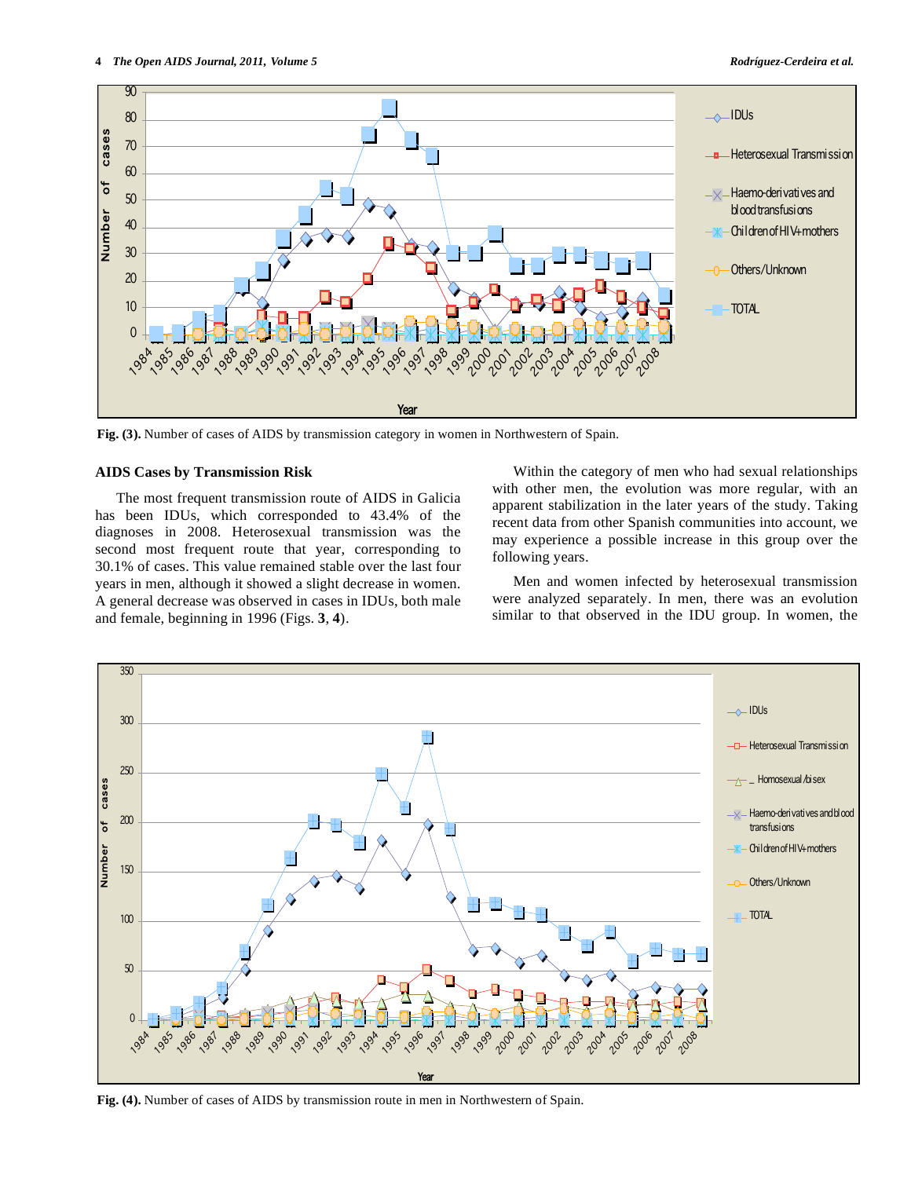

**Fig. (3).** Number of cases of AIDS by transmission category in women in Northwestern of Spain.

#### **AIDS Cases by Transmission Risk**

 The most frequent transmission route of AIDS in Galicia has been IDUs, which corresponded to 43.4% of the diagnoses in 2008. Heterosexual transmission was the second most frequent route that year, corresponding to 30.1% of cases. This value remained stable over the last four years in men, although it showed a slight decrease in women. A general decrease was observed in cases in IDUs, both male and female, beginning in 1996 (Figs. **3**, **4**).

 Within the category of men who had sexual relationships with other men, the evolution was more regular, with an apparent stabilization in the later years of the study. Taking recent data from other Spanish communities into account, we may experience a possible increase in this group over the following years.

 Men and women infected by heterosexual transmission were analyzed separately. In men, there was an evolution similar to that observed in the IDU group. In women, the



**Fig. (4).** Number of cases of AIDS by transmission route in men in Northwestern of Spain.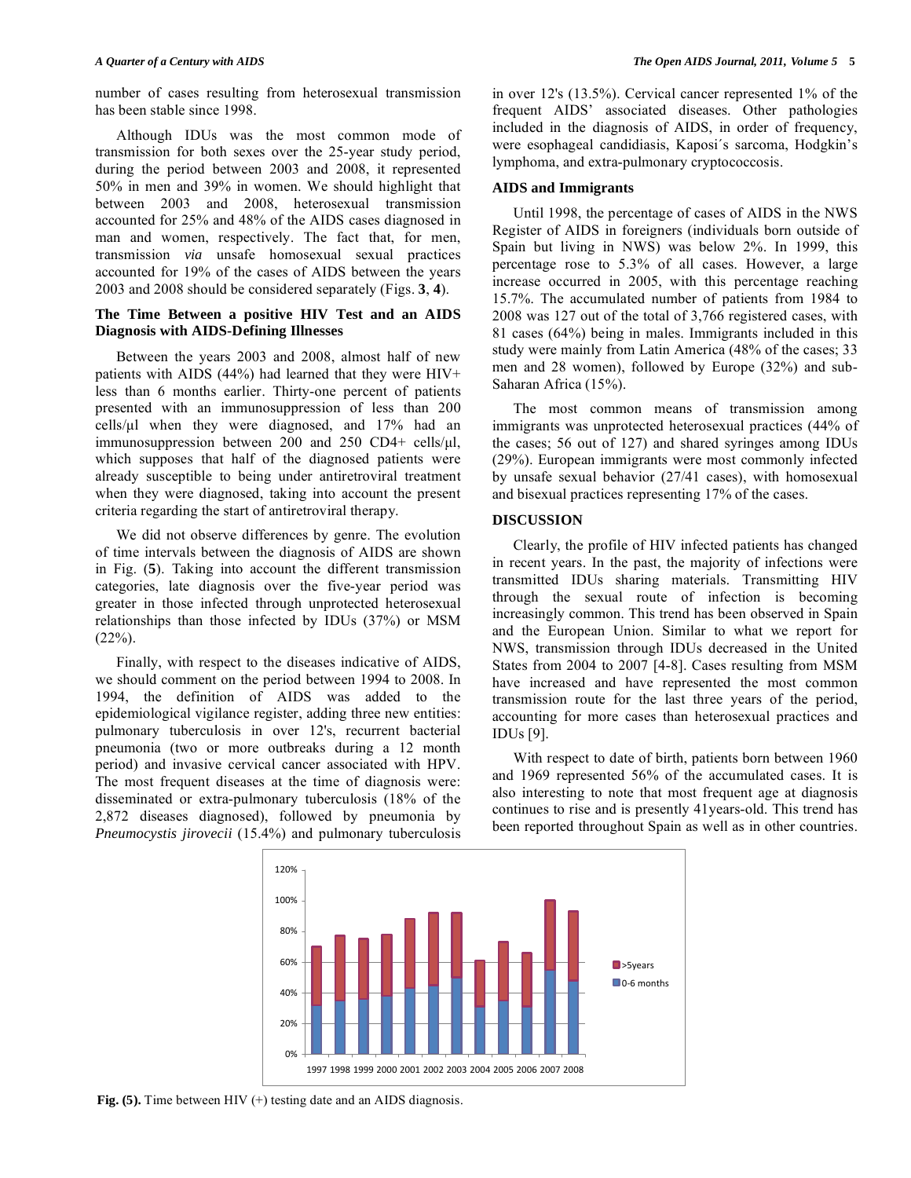number of cases resulting from heterosexual transmission has been stable since 1998.

 Although IDUs was the most common mode of transmission for both sexes over the 25-year study period, during the period between 2003 and 2008, it represented 50% in men and 39% in women. We should highlight that between 2003 and 2008, heterosexual transmission accounted for 25% and 48% of the AIDS cases diagnosed in man and women, respectively. The fact that, for men, transmission *via* unsafe homosexual sexual practices accounted for 19% of the cases of AIDS between the years 2003 and 2008 should be considered separately (Figs. **3**, **4**).

## **The Time Between a positive HIV Test and an AIDS Diagnosis with AIDS-Defining Illnesses**

 Between the years 2003 and 2008, almost half of new patients with AIDS (44%) had learned that they were HIV+ less than 6 months earlier. Thirty-one percent of patients presented with an immunosuppression of less than 200 cells/μl when they were diagnosed, and 17% had an immunosuppression between 200 and 250 CD4+ cells/μl, which supposes that half of the diagnosed patients were already susceptible to being under antiretroviral treatment when they were diagnosed, taking into account the present criteria regarding the start of antiretroviral therapy.

 We did not observe differences by genre. The evolution of time intervals between the diagnosis of AIDS are shown in Fig. (**5**). Taking into account the different transmission categories, late diagnosis over the five-year period was greater in those infected through unprotected heterosexual relationships than those infected by IDUs (37%) or MSM  $(22\%).$ 

 Finally, with respect to the diseases indicative of AIDS, we should comment on the period between 1994 to 2008. In 1994, the definition of AIDS was added to the epidemiological vigilance register, adding three new entities: pulmonary tuberculosis in over 12's, recurrent bacterial pneumonia (two or more outbreaks during a 12 month period) and invasive cervical cancer associated with HPV. The most frequent diseases at the time of diagnosis were: disseminated or extra-pulmonary tuberculosis (18% of the 2,872 diseases diagnosed), followed by pneumonia by *Pneumocystis jirovecii* (15.4%) and pulmonary tuberculosis

in over 12's (13.5%). Cervical cancer represented 1% of the frequent AIDS' associated diseases. Other pathologies included in the diagnosis of AIDS, in order of frequency, were esophageal candidiasis, Kaposi´s sarcoma, Hodgkin's lymphoma, and extra-pulmonary cryptococcosis.

## **AIDS and Immigrants**

 Until 1998, the percentage of cases of AIDS in the NWS Register of AIDS in foreigners (individuals born outside of Spain but living in NWS) was below 2%. In 1999, this percentage rose to 5.3% of all cases. However, a large increase occurred in 2005, with this percentage reaching 15.7%. The accumulated number of patients from 1984 to 2008 was 127 out of the total of 3,766 registered cases, with 81 cases (64%) being in males. Immigrants included in this study were mainly from Latin America (48% of the cases; 33 men and 28 women), followed by Europe (32%) and sub-Saharan Africa (15%).

 The most common means of transmission among immigrants was unprotected heterosexual practices (44% of the cases; 56 out of 127) and shared syringes among IDUs (29%). European immigrants were most commonly infected by unsafe sexual behavior (27/41 cases), with homosexual and bisexual practices representing 17% of the cases.

# **DISCUSSION**

 Clearly, the profile of HIV infected patients has changed in recent years. In the past, the majority of infections were transmitted IDUs sharing materials. Transmitting HIV through the sexual route of infection is becoming increasingly common. This trend has been observed in Spain and the European Union. Similar to what we report for NWS, transmission through IDUs decreased in the United States from 2004 to 2007 [4-8]. Cases resulting from MSM have increased and have represented the most common transmission route for the last three years of the period, accounting for more cases than heterosexual practices and IDUs [9].

 With respect to date of birth, patients born between 1960 and 1969 represented 56% of the accumulated cases. It is also interesting to note that most frequent age at diagnosis continues to rise and is presently 41years-old. This trend has been reported throughout Spain as well as in other countries.



**Fig. (5).** Time between HIV (+) testing date and an AIDS diagnosis.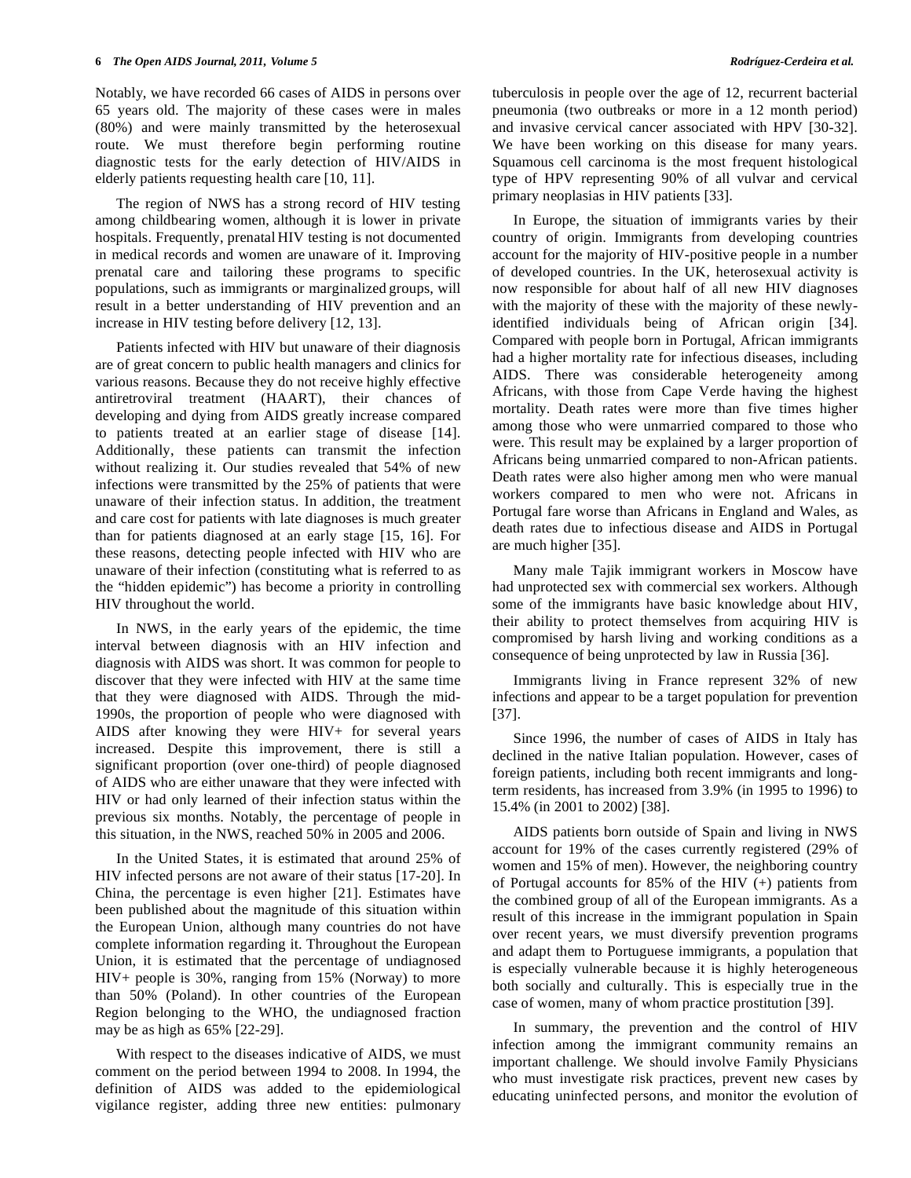Notably, we have recorded 66 cases of AIDS in persons over 65 years old. The majority of these cases were in males (80%) and were mainly transmitted by the heterosexual route. We must therefore begin performing routine diagnostic tests for the early detection of HIV/AIDS in elderly patients requesting health care [10, 11].

 The region of NWS has a strong record of HIV testing among childbearing women, although it is lower in private hospitals. Frequently, prenatal HIV testing is not documented in medical records and women are unaware of it. Improving prenatal care and tailoring these programs to specific populations, such as immigrants or marginalized groups, will result in a better understanding of HIV prevention and an increase in HIV testing before delivery [12, 13].

 Patients infected with HIV but unaware of their diagnosis are of great concern to public health managers and clinics for various reasons. Because they do not receive highly effective antiretroviral treatment (HAART), their chances of developing and dying from AIDS greatly increase compared to patients treated at an earlier stage of disease [14]. Additionally, these patients can transmit the infection without realizing it. Our studies revealed that 54% of new infections were transmitted by the 25% of patients that were unaware of their infection status. In addition, the treatment and care cost for patients with late diagnoses is much greater than for patients diagnosed at an early stage [15, 16]. For these reasons, detecting people infected with HIV who are unaware of their infection (constituting what is referred to as the "hidden epidemic") has become a priority in controlling HIV throughout the world.

 In NWS, in the early years of the epidemic, the time interval between diagnosis with an HIV infection and diagnosis with AIDS was short. It was common for people to discover that they were infected with HIV at the same time that they were diagnosed with AIDS. Through the mid-1990s, the proportion of people who were diagnosed with AIDS after knowing they were HIV+ for several years increased. Despite this improvement, there is still a significant proportion (over one-third) of people diagnosed of AIDS who are either unaware that they were infected with HIV or had only learned of their infection status within the previous six months. Notably, the percentage of people in this situation, in the NWS, reached 50% in 2005 and 2006.

 In the United States, it is estimated that around 25% of HIV infected persons are not aware of their status [17-20]. In China, the percentage is even higher [21]. Estimates have been published about the magnitude of this situation within the European Union, although many countries do not have complete information regarding it. Throughout the European Union, it is estimated that the percentage of undiagnosed HIV+ people is 30%, ranging from 15% (Norway) to more than 50% (Poland). In other countries of the European Region belonging to the WHO, the undiagnosed fraction may be as high as 65% [22-29].

 With respect to the diseases indicative of AIDS, we must comment on the period between 1994 to 2008. In 1994, the definition of AIDS was added to the epidemiological vigilance register, adding three new entities: pulmonary

tuberculosis in people over the age of 12, recurrent bacterial pneumonia (two outbreaks or more in a 12 month period) and invasive cervical cancer associated with HPV [30-32]. We have been working on this disease for many years. Squamous cell carcinoma is the most frequent histological type of HPV representing 90% of all vulvar and cervical primary neoplasias in HIV patients [33].

 In Europe, the situation of immigrants varies by their country of origin. Immigrants from developing countries account for the majority of HIV-positive people in a number of developed countries. In the UK, heterosexual activity is now responsible for about half of all new HIV diagnoses with the majority of these with the majority of these newlyidentified individuals being of African origin [34]. Compared with people born in Portugal, African immigrants had a higher mortality rate for infectious diseases, including AIDS. There was considerable heterogeneity among Africans, with those from Cape Verde having the highest mortality. Death rates were more than five times higher among those who were unmarried compared to those who were. This result may be explained by a larger proportion of Africans being unmarried compared to non-African patients. Death rates were also higher among men who were manual workers compared to men who were not. Africans in Portugal fare worse than Africans in England and Wales, as death rates due to infectious disease and AIDS in Portugal are much higher [35].

 Many male Tajik immigrant workers in Moscow have had unprotected sex with commercial sex workers. Although some of the immigrants have basic knowledge about HIV, their ability to protect themselves from acquiring HIV is compromised by harsh living and working conditions as a consequence of being unprotected by law in Russia [36].

 Immigrants living in France represent 32% of new infections and appear to be a target population for prevention [37].

 Since 1996, the number of cases of AIDS in Italy has declined in the native Italian population. However, cases of foreign patients, including both recent immigrants and longterm residents, has increased from 3.9% (in 1995 to 1996) to 15.4% (in 2001 to 2002) [38].

 AIDS patients born outside of Spain and living in NWS account for 19% of the cases currently registered (29% of women and 15% of men). However, the neighboring country of Portugal accounts for 85% of the HIV (+) patients from the combined group of all of the European immigrants. As a result of this increase in the immigrant population in Spain over recent years, we must diversify prevention programs and adapt them to Portuguese immigrants, a population that is especially vulnerable because it is highly heterogeneous both socially and culturally. This is especially true in the case of women, many of whom practice prostitution [39].

 In summary, the prevention and the control of HIV infection among the immigrant community remains an important challenge. We should involve Family Physicians who must investigate risk practices, prevent new cases by educating uninfected persons, and monitor the evolution of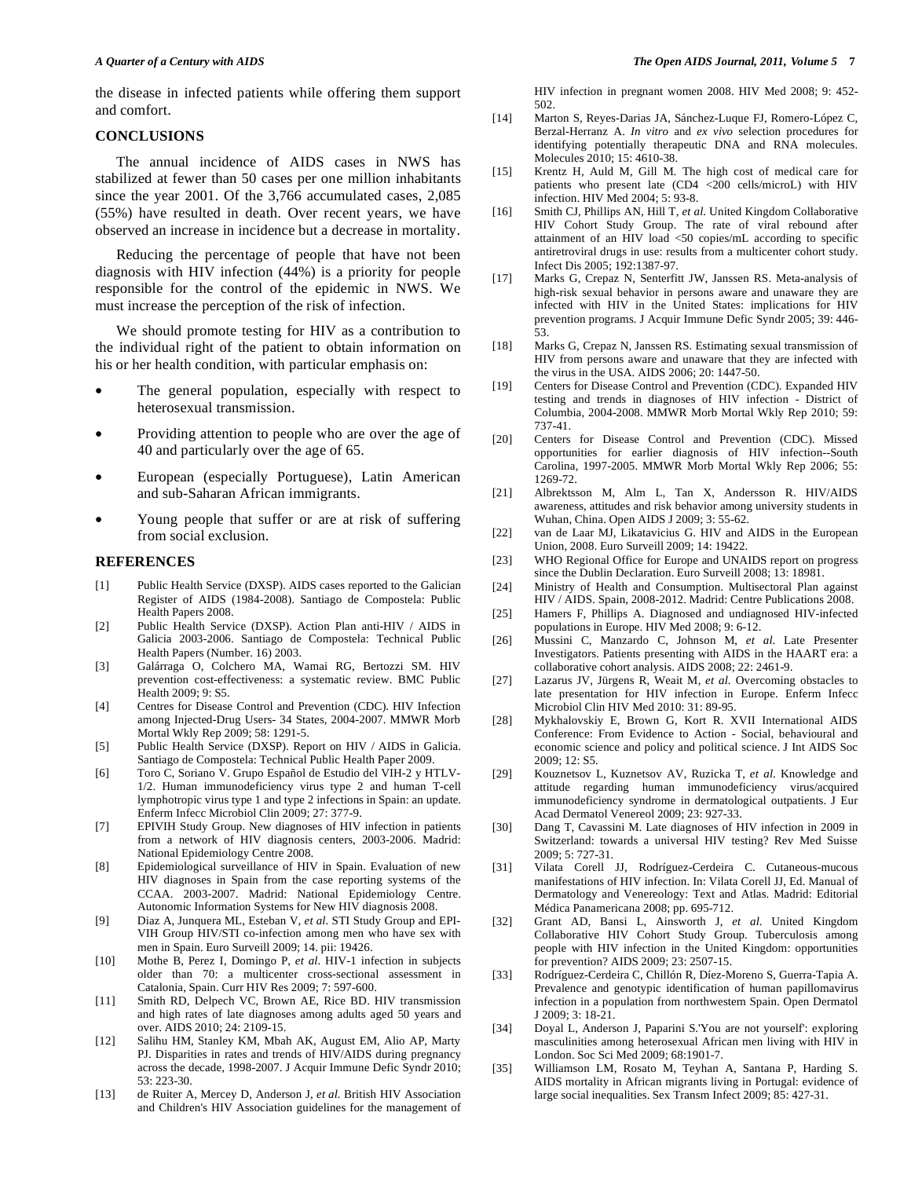the disease in infected patients while offering them support and comfort.

#### **CONCLUSIONS**

 The annual incidence of AIDS cases in NWS has stabilized at fewer than 50 cases per one million inhabitants since the year 2001. Of the 3,766 accumulated cases, 2,085 (55%) have resulted in death. Over recent years, we have observed an increase in incidence but a decrease in mortality.

 Reducing the percentage of people that have not been diagnosis with HIV infection (44%) is a priority for people responsible for the control of the epidemic in NWS. We must increase the perception of the risk of infection.

 We should promote testing for HIV as a contribution to the individual right of the patient to obtain information on his or her health condition, with particular emphasis on:

- The general population, especially with respect to heterosexual transmission.
- Providing attention to people who are over the age of 40 and particularly over the age of 65.
- European (especially Portuguese), Latin American and sub-Saharan African immigrants.
- Young people that suffer or are at risk of suffering from social exclusion.

#### **REFERENCES**

- [1] Public Health Service (DXSP). AIDS cases reported to the Galician Register of AIDS (1984-2008). Santiago de Compostela: Public Health Papers 2008.
- [2] Public Health Service (DXSP). Action Plan anti-HIV / AIDS in Galicia 2003-2006. Santiago de Compostela: Technical Public Health Papers (Number. 16) 2003.
- [3] Galárraga O, Colchero MA, Wamai RG, Bertozzi SM. HIV prevention cost-effectiveness: a systematic review. BMC Public Health 2009; 9: S5.
- [4] Centres for Disease Control and Prevention (CDC). HIV Infection among Injected-Drug Users- 34 States, 2004-2007. MMWR Morb Mortal Wkly Rep 2009; 58: 1291-5.
- [5] Public Health Service (DXSP). Report on HIV / AIDS in Galicia. Santiago de Compostela: Technical Public Health Paper 2009.
- [6] Toro C, Soriano V. Grupo Español de Estudio del VIH-2 y HTLV-1/2. Human immunodeficiency virus type 2 and human T-cell lymphotropic virus type 1 and type 2 infections in Spain: an update. Enferm Infecc Microbiol Clin 2009; 27: 377-9.
- [7] EPIVIH Study Group. New diagnoses of HIV infection in patients from a network of HIV diagnosis centers, 2003-2006. Madrid: National Epidemiology Centre 2008.
- [8] Epidemiological surveillance of HIV in Spain. Evaluation of new HIV diagnoses in Spain from the case reporting systems of the CCAA. 2003-2007. Madrid: National Epidemiology Centre. Autonomic Information Systems for New HIV diagnosis 2008.
- [9] Diaz A, Junquera ML, Esteban V, *et al*. STI Study Group and EPI-VIH Group HIV/STI co-infection among men who have sex with men in Spain. Euro Surveill 2009; 14. pii: 19426.
- [10] Mothe B, Perez I, Domingo P, *et al*. HIV-1 infection in subjects older than 70: a multicenter cross-sectional assessment in Catalonia, Spain. Curr HIV Res 2009; 7: 597-600.
- [11] Smith RD, Delpech VC, Brown AE, Rice BD. HIV transmission and high rates of late diagnoses among adults aged 50 years and over. AIDS 2010; 24: 2109-15.
- [12] Salihu HM, Stanley KM, Mbah AK, August EM, Alio AP, Marty PJ. Disparities in rates and trends of HIV/AIDS during pregnancy across the decade, 1998-2007. J Acquir Immune Defic Syndr 2010; 53: 223-30.
- [13] de Ruiter A, Mercey D, Anderson J, *et al.* British HIV Association and Children's HIV Association guidelines for the management of

HIV infection in pregnant women 2008. HIV Med 2008; 9: 452- 502.

- [14] Marton S, Reyes-Darias JA, Sánchez-Luque FJ, Romero-López C, Berzal-Herranz A. *In vitro* and *ex vivo* selection procedures for identifying potentially therapeutic DNA and RNA molecules. Molecules 2010; 15: 4610-38.
- [15] Krentz H, Auld M, Gill M. The high cost of medical care for patients who present late (CD4 <200 cells/microL) with HIV infection. HIV Med 2004; 5: 93-8.
- [16] Smith CJ, Phillips AN, Hill T, *et al*. United Kingdom Collaborative HIV Cohort Study Group. The rate of viral rebound after attainment of an HIV load <50 copies/mL according to specific antiretroviral drugs in use: results from a multicenter cohort study. Infect Dis 2005; 192:1387-97.
- [17] Marks G, Crepaz N, Senterfitt JW, Janssen RS. Meta-analysis of high-risk sexual behavior in persons aware and unaware they are infected with HIV in the United States: implications for HIV prevention programs. J Acquir Immune Defic Syndr 2005; 39: 446- 53.
- [18] Marks G, Crepaz N, Janssen RS. Estimating sexual transmission of HIV from persons aware and unaware that they are infected with the virus in the USA. AIDS 2006; 20: 1447-50.
- [19] Centers for Disease Control and Prevention (CDC). Expanded HIV testing and trends in diagnoses of HIV infection - District of Columbia, 2004-2008. MMWR Morb Mortal Wkly Rep 2010; 59: 737-41.
- [20] Centers for Disease Control and Prevention (CDC). Missed opportunities for earlier diagnosis of HIV infection--South Carolina, 1997-2005. MMWR Morb Mortal Wkly Rep 2006; 55: 1269-72.
- [21] Albrektsson M, Alm L, Tan X, Andersson R. HIV/AIDS awareness, attitudes and risk behavior among university students in Wuhan, China. Open AIDS J 2009; 3: 55-62.
- [22] van de Laar MJ, Likatavicius G. HIV and AIDS in the European Union, 2008. Euro Surveill 2009; 14: 19422.
- [23] WHO Regional Office for Europe and UNAIDS report on progress since the Dublin Declaration. Euro Surveill 2008; 13: 18981.
- [24] Ministry of Health and Consumption. Multisectoral Plan against HIV / AIDS. Spain, 2008-2012. Madrid: Centre Publications 2008.
- [25] Hamers F, Phillips A. Diagnosed and undiagnosed HIV-infected populations in Europe. HIV Med 2008; 9: 6-12.
- [26] Mussini C, Manzardo C, Johnson M, *et al*. Late Presenter Investigators. Patients presenting with AIDS in the HAART era: a collaborative cohort analysis. AIDS 2008; 22: 2461-9.
- [27] Lazarus JV, Jürgens R, Weait M, *et al*. Overcoming obstacles to late presentation for HIV infection in Europe. Enferm Infecc Microbiol Clin HIV Med 2010: 31: 89-95.
- [28] Mykhalovskiy E, Brown G, Kort R. XVII International AIDS Conference: From Evidence to Action - Social, behavioural and economic science and policy and political science. J Int AIDS Soc 2009; 12: S5.
- [29] Kouznetsov L, Kuznetsov AV, Ruzicka T, *et al*. Knowledge and attitude regarding human immunodeficiency virus/acquired immunodeficiency syndrome in dermatological outpatients. J Eur Acad Dermatol Venereol 2009; 23: 927-33.
- [30] Dang T, Cavassini M. Late diagnoses of HIV infection in 2009 in Switzerland: towards a universal HIV testing? Rev Med Suisse 2009; 5: 727-31.
- [31] Vilata Corell JJ, Rodríguez-Cerdeira C. Cutaneous-mucous manifestations of HIV infection. In: Vilata Corell JJ, Ed. Manual of Dermatology and Venereology: Text and Atlas. Madrid: Editorial Médica Panamericana 2008; pp. 695-712.
- [32] Grant AD, Bansi L, Ainsworth J, *et al*. United Kingdom Collaborative HIV Cohort Study Group. Tuberculosis among people with HIV infection in the United Kingdom: opportunities for prevention? AIDS 2009; 23: 2507-15.
- [33] Rodríguez-Cerdeira C, Chillón R, Díez-Moreno S, Guerra-Tapia A. Prevalence and genotypic identification of human papillomavirus infection in a population from northwestern Spain. Open Dermatol J 2009; 3: 18-21.
- [34] Doyal L, Anderson J, Paparini S.'You are not yourself': exploring masculinities among heterosexual African men living with HIV in London. Soc Sci Med 2009; 68:1901-7.
- [35] Williamson LM, Rosato M, Teyhan A, Santana P, Harding S. AIDS mortality in African migrants living in Portugal: evidence of large social inequalities. Sex Transm Infect 2009; 85: 427-31.